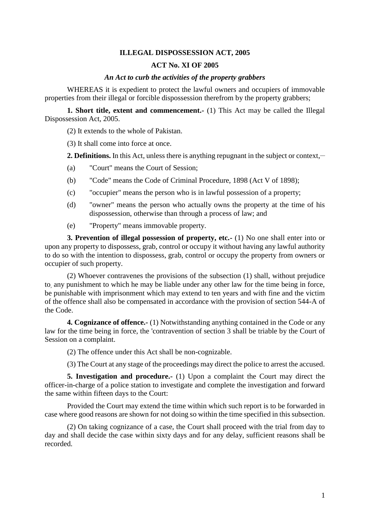## **ILLEGAL DISPOSSESSION ACT, 2005**

## **ACT No. XI OF 2005**

## *An Act to curb the activities of the property grabbers*

WHEREAS it is expedient to protect the lawful owners and occupiers of immovable properties from their illegal or forcible dispossession therefrom by the property grabbers;

**1. Short title, extent and commencement.-** (1) This Act may be called the Illegal Dispossession Act, 2005.

(2) It extends to the whole of Pakistan.

(3) It shall come into force at once.

2. Definitions. In this Act, unless there is anything repugnant in the subject or context,

- (a) "Court" means the Court of Session;
- (b) "Code" means the Code of Criminal Procedure, 1898 (Act V of 1898);
- (c) "occupier" means the person who is in lawful possession of a property;
- (d) "owner" means the person who actually owns the property at the time of his dispossession, otherwise than through a process of law; and
- (e) "Property" means immovable property.

**3. Prevention of illegal possession of property, etc.-** (1) No one shall enter into or upon any property to dispossess, grab, control or occupy it without having any lawful authority to do so with the intention to dispossess, grab, control or occupy the property from owners or occupier of such property.

(2) Whoever contravenes the provisions of the subsection (1) shall, without prejudice to, any punishment to which he may be liable under any other law for the time being in force, be punishable with imprisonment which may extend to ten years and with fine and the victim of the offence shall also be compensated in accordance with the provision of section 544-A of the Code.

**4. Cognizance of offence.-** (1) Notwithstanding anything contained in the Code or any law for the time being in force, the 'contravention of section 3 shall be triable by the Court of Session on a complaint.

(2) The offence under this Act shall be non-cognizable.

(3) The Court at any stage of the proceedings may direct the police to arrest the accused.

**5. Investigation and procedure.**- (1) Upon a complaint the Court may direct the officer-in-charge of a police station to investigate and complete the investigation and forward the same within fifteen days to the Court:

Provided the Court may extend the time within which such report is to be forwarded in case where good reasons are shown for not doing so within the time specified in this subsection.

(2) On taking cognizance of a case, the Court shall proceed with the trial from day to day and shall decide the case within sixty days and for any delay, sufficient reasons shall be recorded.